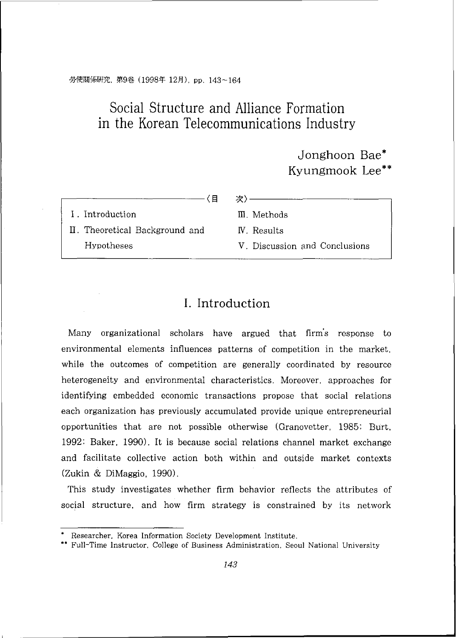#### 勞使關係研究, 第9卷 (1998年 12月), pp. 143~164

# Social Structure and Alliance Formation in the Korean Telecommunications Industry

# Jonghoon Bae\* Kyungmook Lee\*\*

#### —〈**目** 次〉——

I . Introduction III. Methods

11. Theoretical Background and IV. Results Hypotheses V . Discussion and Conclusions

## I. Introduction

Many organizational scholars have argued that firm's response to environmental elements influences patterns of competition in the market. while the outcomes of competition are generally coordinated by resource heterogeneity and environmental characteristics. Moreover, approaches for identifying embedded economic transactions propose that social relations each organization has previously accumulated provide unique entrepreneurial opportunities that are not possible otherwise (Granovetter. 1985: Burt. 1992: Baker, 1990). It is because social relations channel market exchange and facilitate collective action both within and outside market contexts (Zukin & DiMaggio, 1990).

This study investigates whether firm behavior reflects the attributes of social structure, and how firm strategy is constrained by its network

Researcher. Korea Information Society Development Institute.

<sup>\*\*</sup> Full-Time Instructor. College of Business Administration. Seoul National University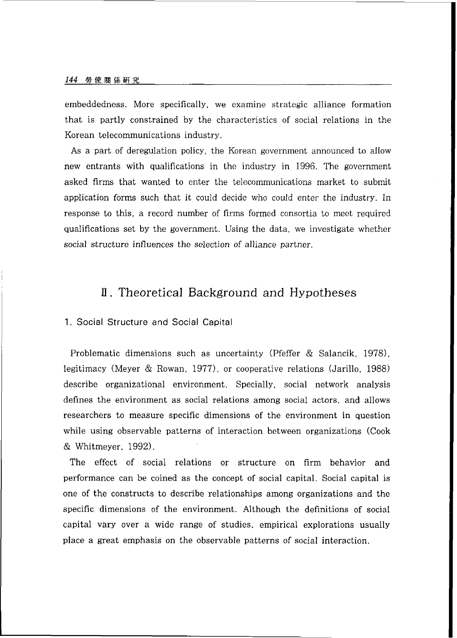embeddedness. More specifically, we examine strategic alliance formation that is partly constrained by the characteristics of social relations in the Korean telecommunications industry.

As a part of deregulation policy, the Korean government announced to allow new entrants with qualifications in the industry in 1996. The government asked firms that wanted to enter the telecommunications market to submit application forms such that it could decide who could enter the industry. In response to this, a record number of firms formed consortia to meet required qualifications set by the government. Using the data, we investigate whether social structure influences the selection of alliance partner.

### **1T.** Theoretical Background and Hypotheses

#### 1. Social Structure and Social Capital

Problematic dimensions such as uncertainty (Pfeffer & Salancik. 1978). legitimacy (Meyer & Rowan. 1977). or cooperative relations (Jarillo. 1988) describe organizational environment. Specially, social network analysis defines the environment as social relations among social actors, and allows researchers to measure specific dimensions of the environment in question while using observable patterns of interaction between organizations (Cook & Whitmeyer, 1992).

The effect of social relations or structure on firm behavior and performance can be coined as the concept of social capital. Social capital is one of the constructs to describe relationships among organizations and the specific dimensions of the environment. Although the definitions of social capital vary over a wide range of studies, empirical explorations usually place a great emphasis on the observable patterns of social interaction.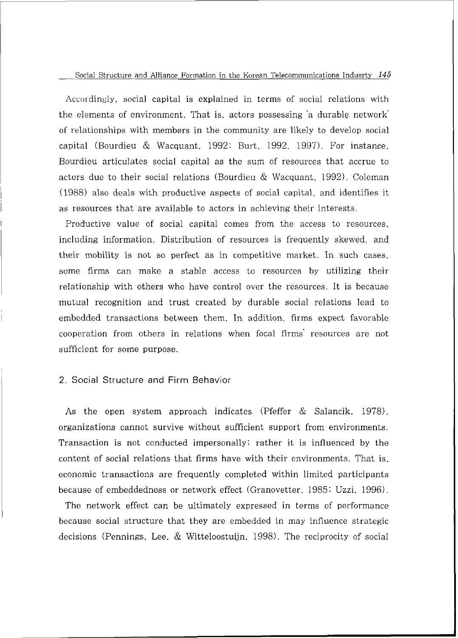Accordingly, social capital is explained in terms of social relations with the elements of environment. That is, actors possessing 'a durable network' of relationships with members in the community are likely to develop social capital (Bourdieu & Wacquant. 1992: Burt. 1992. 1997). For instance. Bourdieu articulates social capital as the sum of resources that accrue to actors due to their social relations (Bourdieu & Wacquant. 1992). Coleman (1988) also deals with productive aspects of social capital, and identifies it as resources that are available to actors in achieving their interests.

Productive value of social capital comes from the access to resources. including information. Distribution of resources is frequently skewed, and their mobility is not so perfect as in competitive market. In such cases. some firms can make a stable access to resources by utilizing their relationship with others who have control over the resources. It is because mutual recognition and trust created by durable social relations lead to embedded transactions between them. In addition, firms expect favorable cooperation from others in relations when focal firms' resources are not sufficient for some purpose.

#### 2. Social Structure and Firm Behavior

As the open system approach indicates (Pfeffer & Salancik. 1978). organizations cannot survive without sufficient support from environments. Transaction is not conducted impersonally: rather it is influenced by the content of social relations that firms have with their environments. That is, economic transactions are frequently completed within limited participants because of embeddedness or network effect (Granovetter. 1985: Uzzi. 1996).

The network effect can be ultimately expressed in terms of performance because social structure that they are embedded in may influence strategic decisions (Pennings, Lee, & Witteloostuiin. 1998). The reciprocity of social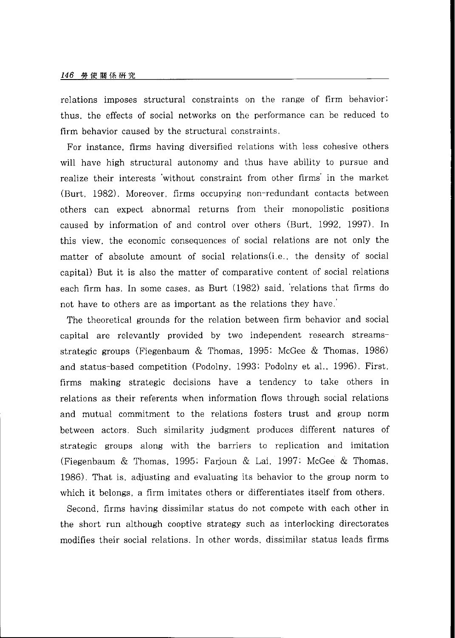#### 146 勞使關係研究

relations imposes structural constraints on the range of firm behavior: thus, the effects of social networks on the performance can be reduced to firm behavior caused by the structural constraints.

For instance, firms having diversified relations with less cohesive others will have high structural autonomy and thus have ability to pursue and realize their interests 'without constraint from other firms' in the market (Burt, 1982). Moreover, firms occupying non-redundant contacts between others can expect abnormal returns from their monopolistic positions caused by information of and control over others (Burt. 1992. 1997). In this view, the economic consequences of social relations are not only the matter of absolute amount of social relations(i.e., the density of social capital) But it is also the matter of comparative content of social relations each firm has. In some cases, as Burt (1982) said. 'relations that firms do not have to others are as important as the relations they have.'

The theoretical grounds for the relation between firm behavior and social capital are relevantly provided by two independent research streamsstrategic groups (Fiegenbaum & Thomas, 1995: McGee & Thomas. 1986) and status-based competition (Podolny. 1993: Podolny et al.. 1996). First. firms making strategic decisions have a tendency to take others in relations as their referents when information flows through social relations and mutual commitment to the relations fosters trust and group norm between actors. Such similarity judgment produces different natures of strategic groups along with the barriers to replication and imitation (Fiegenbaum & Thomas. 1995; Farjoun & Lai. 1997; McGee & Thomas. 1986). That is, adjusting and evaluating its behavior to the group norm to which it belongs, a firm imitates others or differentiates itself from others.

Second, firms having dissimilar status do not compete with each other in the short run although cooptive strategy such as interlocking directorates modifies their social relations. In other words, dissimilar status leads firms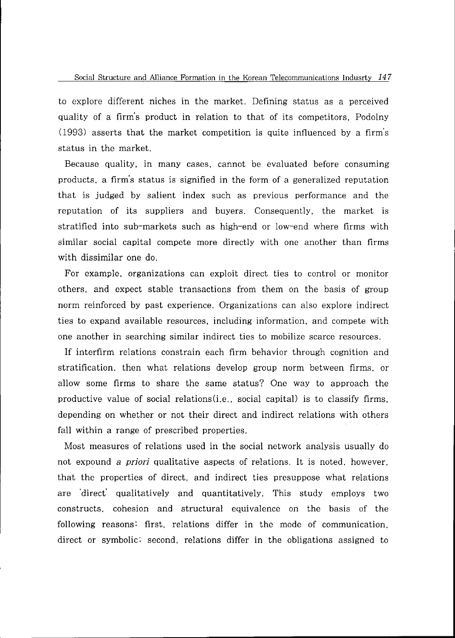to explore different niches in the market. Defining status as a perceived quality of a firm's product in relation to that of its competitors. Podolny (1993) asserts that the market competition is quite influenced by a firm's status in the market.

Because quality, in many cases, cannot be evaluated before consuming products, a firm's status is signified in the form of a generalized reputation that is judged by salient index such as previous performance and the reputation of its suppliers and buyers. Consequently, the market is stratified into sub-markets such as high-end or low-end where firms with similar social capital compete more directly with one another than firms with dissimilar one do.

For example, organizations can exploit direct ties to control or monitor others, and expect stable transactions from them on the basis of group norm reinforced by past experience. Organizations can also explore indirect ties to expand available resources, including information, and compete with one another in searching similar indirect ties to mobilize scarce resources.

If interfirm relations constrain each firm behavior through cognition and stratification, then what relations develop group norm between firms, or allow some firms to share the same status? One way to approach the productive value of social relations(i.e.. social capital) is to classify firms, depending on whether or not their direct and indirect relations with others fall within a range of prescribed properties.

Most measures of relations used in the social network analysis usually do not expound a *priori* qualitative aspects of relations. It is noted, however. that the properties of direct, and indirect ties presuppose what relations are 'direct' qualitatively and quantitatively. This study employs two constructs, cohesion and structural equivalence on the basis of the following reasons: first, relations differ in the mode of communication. direct or symbolic: second, relations differ in the obligations assigned to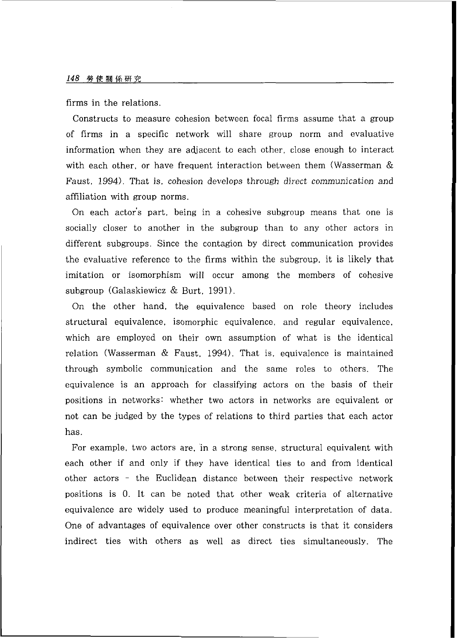firms in the relations.

Constructs to measure cohesion between focal firms assume that a group of firms in a specific network will share group norm and evaluative information when they are adjacent to each other, close enough to interact with each other, or have frequent interaction between them (Wasserman & Faust, 1994). That is, cohesion develops through direct communication and affiliation with group norms.

On each actor's part, being in a cohesive subgroup means that one is socially closer to another in the subgroup than to any other actors in different subgroups. Since the contagion by direct communication provides the evaluative reference to the firms within the subgroup, it is likely that imitation or isomorphism will occur among the members of cohesive subgroup (Galaskiewicz & Burt. 1991).

On the other hand, the equivalence based on role theory includes structural equivalence, isomorphic equivalence, and regular equivalence. which are employed on their own assumption of what is the identical relation (Wasserman & Faust. 1994). That is, equivalence is maintained through symbolic communication and the same roles to others. The equivalence is an approach for classifying actors on the basis of their positions in networks: whether two actors in networks are equivalent or not can be judged by the types of relations to third parties that each actor has.

For example, two actors are, in a strong sense, structural equivalent with each other if and only if they have identical ties to and from identical other actors - the Euclidean distance between their respective network positions is 0. It can be noted that other weak criteria of alternative equivalence are widely used to produce meaningful interpretation of data. One of advantages of equivalence over other constructs is that it considers indirect ties with others as well as direct ties simultaneously. The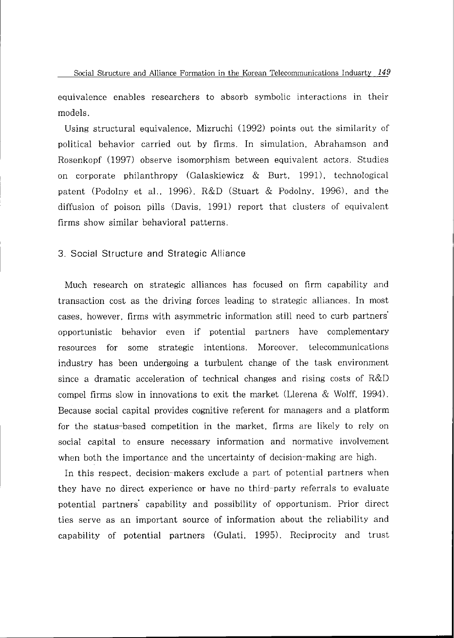equivalence enables researchers to absorb symbolic interactions in their models.

Using structural equivalence. Mizruchi (1992) points out the similarity of political behavior carried out by firms. In simulation. Abrahamson and Rosenkopf (1997) observe isomorphism between equivalent actors. Studies on corporate philanthropy (Galaskiewicz  $\&$  Burt, 1991), technological patent (Podolny et al., 1996). R&D (Stuart & Podolny. 1996). and the diffusion of poison pills (Davis, 1991) report that clusters of equivalent firms show similar behavioral patterns.

#### 3. Social Structure and Strategic Alliance

Much research on strategic alliances has focused on firm capability and transaction cost as the driving forces leading to strategic alliances. In most cases, however, firms with asymmetric information still need to curb partners' opportunistic behavior even if potential partners have complementary resources for some strategic intentions. Moreover, telecommunications industry has been undergoing a turbulent change of the task environment since a dramatic acceleration of technical changes and rising costs of R&D compel firms slow in innovations to exit the market (Llerena & Wolff. 1994). Because social capital provides cognitive referent for managers and a platform for the status-based competition in the market, firms are likely to rely on social capital to ensure necessary information and normative involvement when both the importance and the uncertainty of decision-making are high.

In this respect, decision-makers exclude a part of potential partners when they have no direct experience or have no third-party referrals to evaluate potential partners' capability and possibility of opportunism. Prior direct ties serve as an important source of information about the reliability and capability of potential partners (Gulati. 1995). Reciprocity and trust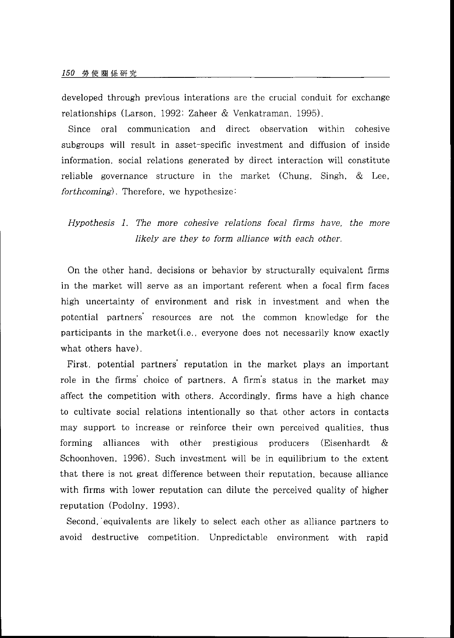developed through previous interations are the crucial conduit for exchange relationships (Larson. *1992:* Zaheer & Venkatraman. *1995).* 

Since oral communication and direct observation within cohesive subgroups will result in asset-specific investment and diffusion of inside information, social relations generated by direct interaction will constitute reliable governance structure in the market (Chung. Singh. & Lee, *forthcoming).* Therefore, we hypothesize:

*Hypothesis I. The more cohesive relations focal firms have, the more likely are they to form alliance with each other.* 

On the other hand, decisions or behavior by structurally equivalent firms in the market will serve as an important referent when a focal firm faces high uncertainty of environment and risk in investment and when the potential partners' resources are not the common knowledge for the participants in the market(i.e.. everyone does not necessarily know exactly what others have).

First, potential partners' reputation in the market plays an important role in the firms' choice of partners. A firm's status in the market may affect the competition with others. Accordingly, firms have a high chance to cultivate social relations intentionally so that other actors in contacts may support to increase or reinforce their own perceived qualities, thus forming alliances with other prestigious producers (Eisenhardt & Schoonhoven. *1996).* Such investment will be in equilibrium to the extent that there is not great difference between their reputation, because alliance with firms with lower reputation can dilute the perceived quality of higher reputation (Podolny. *1993).* 

Second. 'equivalents are likely to select each other as alliance partners to avoid destructive competition. Unpredictable environment with rapid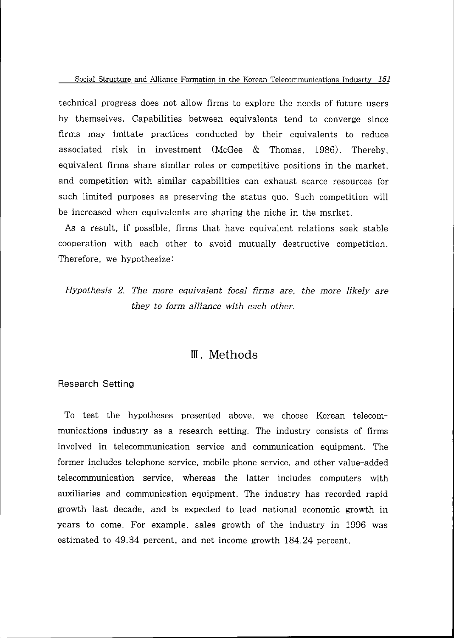technical progress does not allow firms to explore the needs of future users by themselves. Capabilities between equivalents tend to converge since firms may imitate practices conducted by their equivalents to reduce associated risk in investment (McGee & Thomas. 1986). Thereby. equivalent firms share similar roles or competitive positions in the market. and competition with similar capabilities can exhaust scarce resources for such limited purposes as preserving the status quo. Such competition will be increased when equivalents are sharing the niche in the market.

As a result, if possible, firms that have equivalent relations seek stable cooperation with each other to avoid mutually destructive competition. Therefore, we hypothesize:

*Hypothesis 2. The more equivalent focal firms are, the more likely are they to form alliance with each other.* 

### IN. Methods

#### Research Setting

To test the hypotheses presented above, we choose Korean telecommunications industry as a research setting. The industry consists of firms involved in telecommunication service and communication equipment. The former includes telephone service, mobile phone service, and other value-added telecommunication service, whereas the latter includes computers with auxiliaries and communication equipment. The industry has recorded rapid growth last decade, and is expected to lead national economic growth in years to come. For example, sales growth of the industry in 1996 was estimated to 49.34 percent, and net income growth 184.24 percent.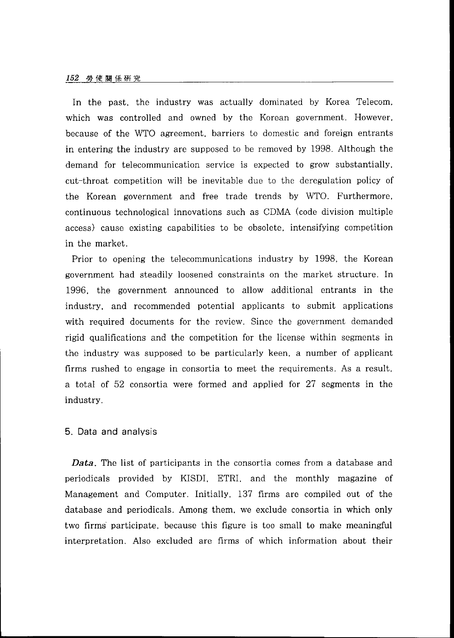In the past, the industry was actually dominated by Korea Telecom, which was controlled and owned by the Korean government. However. because of the WTO agreement, barriers to domestic and foreign entrants in entering the industry are supposed to be removed by 1998. Although the demand for telecommunication service is expected to grow substantially. cut-throat competition will be inevitable due to the deregulation policy of the Korean government and free trade trends by WTO. Furthermore. continuous technological innovations such as CDMA (code division multiple access) cause existing capabilities to be obsolete, intensifying competition in the market.

Prior to opening the telecommunications industry by 1998, the Korean government had steadily loosened constraints on the market structure. In 1996, the government announced to allow additional entrants in the industry, and recommended potential applicants to submit applications with required documents for the review. Since the government demanded rigid qualifications and the competition for the license within segments in the industry was supposed to be particularly keen, a number of applicant firms rushed to engage in consortia to meet the requirements. As a result. a total of 52 consortia were formed and applied for 27 segments in the industry.

#### 5. Data and analysis

*Data.* The list of participants in the consortia comes from a database and periodicals provided by KISDI. ETRI, and the monthly magazine of Management and Computer. Initially. 137 firms are compiled out of the database and periodicals. Among them, we exclude consortia in which only two firms participate, because this figure is too small to make meaningful interpretation. Also excluded are firms of which information about their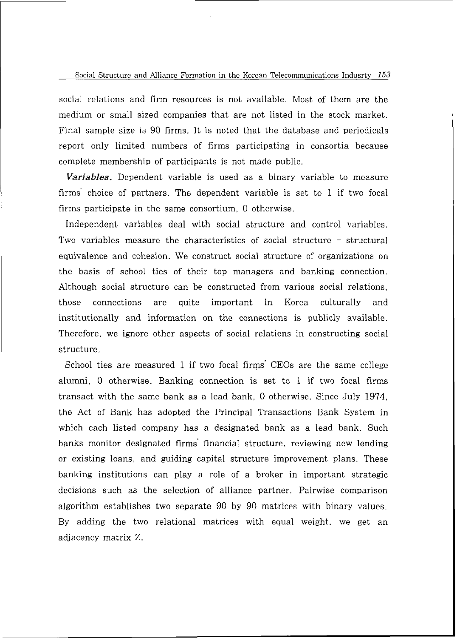social relations and firm resources is not available. Most of them are the medium or small sized companies that are not listed in the stock market. Final sample size is 90 firms. It is noted that the database and periodicals report only limited numbers of firms participating in consortia because complete membership of participants is not made public.

*Variables.* Dependent variable is used as a binary variable to measure firms' choice of partners. The dependent variable is set to 1 if two focal firms participate in the same consortium, 0 otherwise.

Independent variables deal with social structure and control variables. Two variables measure the characteristics of social structure - structural equivalence and cohesion. We construct social structure of organizations on the basis of school ties of their top managers and banking connection. Although social structure can be constructed from various social relations. those connections are quite important in Korea culturally and institutionally and information on the connections is publicly available. Therefore, we ignore other aspects of social relations in constructing social structure.

School ties are measured 1 if two focal firms' CEOs are the same college alumni. 0 otherwise. Banking connection is set to 1 if two focal firms transact with the same bank as a lead bank. 0 otherwise. Since July 1974. the Act of Bank has adopted the Principal Transactions Bank System in which each listed company has a designated bank as a lead bank. Such banks monitor designated firms' financial structure. reviewing new lending or existing loans, and guiding capital structure improvement plans. These banking institutions can play a role of a broker in important strategic decisions such as the selection of alliance partner. Pairwise comparison algorithm establishes two separate 90 by 90 matrices with binary values. By adding the two relational matrices with equal weight, we get an adjacency matrix Z.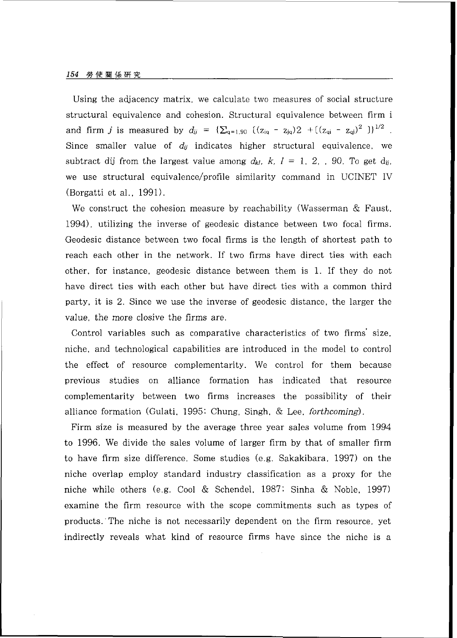Using the adjacency matrix, we calculate two measures of social structure structural equivalence and cohesion. Structural equivalence between firm i and firm *j* is measured by  $d_{ij} = {\sum_{q=1,90} ((z_{iq} - z_{jq})2 + ((z_{qi} - z_{qi})^2)}^{-1/2}$ . Since smaller value of  $d_{ij}$  indicates higher structural equivalence, we subtract dij from the largest value among  $d_{kl}$ ,  $k$ ,  $l = 1, 2, .$  90. To get d<sub>ij</sub>. we use structural equivalence/profile similarity command in UCINET IV (Borgatti et al.. 1991).

We construct the cohesion measure by reachability (Wasserman & Faust. 1994), utilizing the inverse of geodesic distance between two focal firms. Geodesic distance between two focal firms is the length of shortest path to reach each other in the network. If two firms have direct ties with each other, for instance, geodesic distance between them is 1. If they do not have direct ties with each other but have direct ties with a common third party, it is 2. Since we use the inverse of geodesic distance, the larger the value, the more closive the firms are.

Control variables such as comparative characteristics of two firms' size. niche, and technological capabilities are introduced in the model to control the effect of resource complementarity. We control for them because previous studies on alliance formation has indicated that resource complementarity between two firms increases the possibility of their alliance formation (Gulati. 1995: Chung. Singh. & Lee, **forthcoming).** 

Firm size is measured by the average three year sales volume from 1994 to 1996. We divide the sales volume of larger firm by that of smaller firm to have firm size difference. Some studies (e.g. Sakakibara, 1997) on the niche overlap employ standard industry classification as a proxy for the niche while others (e.g. Cool & Schendel. 1987; Sinha & Noble. 1997) examine the firm resource with the scope commitments such as types of products.'The niche is not necessarily dependent on the firm resource, yet indirectly reveals what kind of resource firms have since the niche is a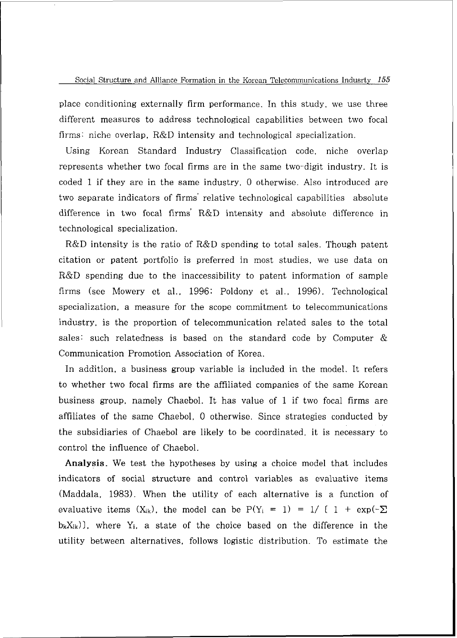place conditioning externally firm performance. In this study. we use three different measures to address technological capabilities between two focal firms: niche overlap. R&D intensity and technological specialization.

Using Korean Standard Industry Classification code, niche overlap represents whether two focal firms are in the same two-digit industry. It is coded 1 if they are in the same industry. *0* otherwise. Also introduced are two separate indicators of firms' relative technological capabilities absolute difference in two focal firms' R&D intensity and absolute difference in technological specialization.

R&D intensity is the ratio of R&D spending to total sales. Though patent citation or patent portfolio is preferred in most studies, we use data on R&D spending due to the inaccessibility to patent information of sample firms (see Mowery et al.. 1996: Poldony et al.. 1996). Technological specialization, a measure for the scope commitment to telecommunications industry, is the proportion of telecommunication related sales to the total sales: such relatedness is based on the standard code by Computer & Communication Promotion Association of Korea.

In addition, a business group variable is included in the model. It refers to whether two focal firms are the affiliated companies of the same Korean business group, namely Chaebol. It has value of 1 if two focal firms are affiliates of the same Chaebol, 0 otherwise. Since strategies conducted by the subsidiaries of Chaebol are likely to be coordinated, it is necessary to control the influence of Chaebol.

**Analysis.** We test the hypotheses by using a choice model that includes indicators of social structure and control variables as evaluative items (Maddala. 1983). When the utility of each alternative is a function of evaluative items  $(X_{ik})$ , the model can be  $P(Y_i = 1) = 1/1 + exp(-\sum_i$  $b_kX_{ik}$ ), where  $Y_i$ , a state of the choice based on the difference in the utility between alternatives, follows logistic distribution. To estimate the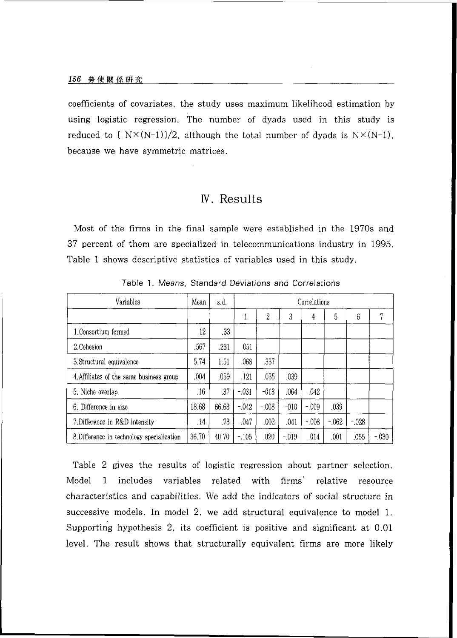coefficients of covariates, the study uses maximum likelihood estimation by using logistic regression. The number of dyads used in this study is reduced to  $[N \times (N-1)]/2$ , although the total number of dyads is  $N \times (N-1)$ , because we have symmetric matrices.

### **N.** Results

Most of the firms in the final sample were established in the 1970s and 37 percent of them are specialized in telecommunications industry in 1995. Table 1 shows descriptive statistics of variables used in this study.

| Variables                                  | Mean  | s.d.  | Correlations |         |         |          |         |         |        |  |  |
|--------------------------------------------|-------|-------|--------------|---------|---------|----------|---------|---------|--------|--|--|
|                                            |       |       |              | 2       | 3       | 4        | 5       | 6       | 7      |  |  |
| 1. Consortium formed                       | .12   | .33   |              |         |         |          |         |         |        |  |  |
| 2. Cohesion                                | .567  | .231  | .051         |         |         |          |         |         |        |  |  |
| 3. Structural equivalence                  | 5.74  | 1.51  | .068         | .337    |         |          |         |         |        |  |  |
| 4. Affiliates of the same business group   | .004  | .059  | .121         | .035    | .039    |          |         |         |        |  |  |
| 5. Niche overlap                           | .16   | .37   | $-031$       | $-013$  | .064    | .042     |         |         |        |  |  |
| 6. Difference in size                      | 18.68 | 66.63 | $-.042$      | $-.008$ | $-010$  | $-0.09$  | .039    |         |        |  |  |
| 7. Difference in R&D intensity             | .14   | .73   | .047         | .002    | .041    | $-0.008$ | $-.062$ | $-.028$ |        |  |  |
| 8. Difference in technology specialization | 36.70 | 40.70 | $-105$       | .020    | $-.019$ | .014     | .001    | .055    | $-030$ |  |  |

Table 1. Means, Standard Deviations and Correlations

Table 2 gives the results of logistic regression about partner selection. Model 1 includes variables related with firms' relative resource characteristics and capabilities. We add the indicators of social structure in successive models. In model 2, we add structural equivalence to model 1. Supporting hypothesis 2, its coefficient is positive and significant at 0.01 level. The result shows that structurally equivalent firms are more likely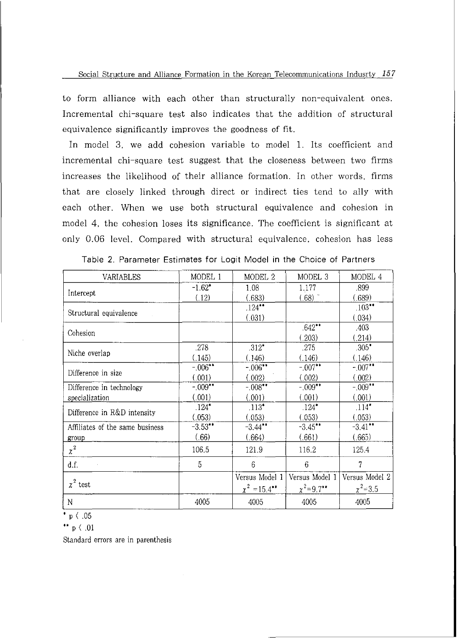to form alliance with each other than structurally non-equivalent ones. Incremental chi-square test also indicates that the addition of structural equivalence significantly improves the goodness of fit.

In model 3, we add cohesion variable to model 1. Its coefficient and incremental chi-square test suggest that the closeness between two firms increases the likelihood of their alliance formation. In other words, firms that are closely linked through direct or indirect ties tend to ally with each other. When we use both structural equivalence and cohesion in model 4, the cohesion loses its significance. The coefficient is significant at only 0.06 level. Compared with structural equivalence, cohesion has less

| VARIABLES                       | MODEL 1    | MODEL 2           | MODEL 3              | MODEL 4        |  |
|---------------------------------|------------|-------------------|----------------------|----------------|--|
|                                 | $-1.62*$   | 1.08              | 1.177                | .899           |  |
| Intercept                       | (.12)      | (.683)            | $(.68)$ <sup>-</sup> | (.689)         |  |
|                                 |            | $.124***$         |                      | $.103***$      |  |
| Structural equivalence          |            | (.031)            |                      | (.034)         |  |
|                                 |            |                   | $.642**$             | .403           |  |
| Cohesion                        |            |                   | (.203)               | (.214)         |  |
|                                 | .278       | $.312*$           | .275                 | $.305*$        |  |
| Niche overlap                   | (.145)     | (.146)            | (.146)               | (.146)         |  |
| Difference in size              | $-0.06***$ | $-0.06***$        | $-.007***$           | $-0.07***$     |  |
|                                 | (.001)     | (.002)            | (.002)               | (.002)         |  |
| Difference in technology        | $-0.09***$ | $-.008***$        | $-.009**$            | $-0.09***$     |  |
| specialization                  | (.001)     | (.001)            | (.001)               | (.001)         |  |
|                                 | $.124*$    | $.113*$           | $.124*$              | $.114*$        |  |
| Difference in R&D intensity     | (.053)     | (.053)            | (.053)               | (.053)         |  |
| Affiliates of the same business | $-3.53***$ | $-3.44$ **        | $-3.45***$           | $-3.41$ **     |  |
| group                           | (.66)      | (.664)            | (.661)               | (.665)         |  |
| $\chi^2$                        | 106.5      | 121.9             | 116.2                | 125.4          |  |
| d.f.                            | 5          | 6                 | 6                    | 7              |  |
|                                 |            | Versus Model 1    | Versus Model 1       | Versus Model 2 |  |
| $\chi^2$ test                   |            | $\chi^2$ = 15.4** | $x^2 = 9.7$ **       | $\chi^2 = 3.5$ |  |
| N                               | 4005       | 4005              | 4005                 | 4005           |  |

|  |  | Table 2. Parameter Estimates for Logit Model in the Choice of Partners |  |  |  |  |  |  |  |  |  |
|--|--|------------------------------------------------------------------------|--|--|--|--|--|--|--|--|--|
|--|--|------------------------------------------------------------------------|--|--|--|--|--|--|--|--|--|

' p ( .05

\*\*  $p \in .01$ 

Standard errors are in parenthesis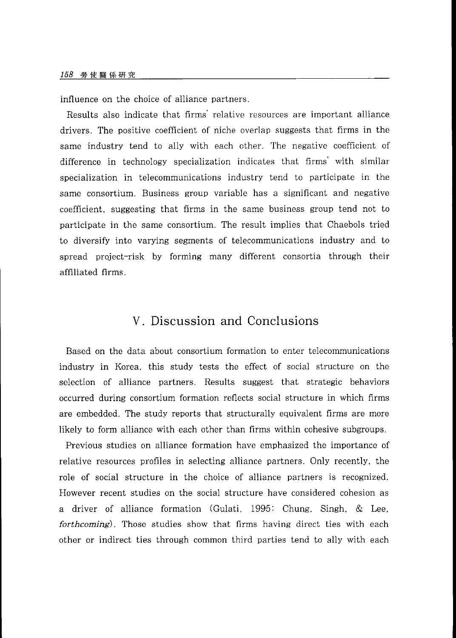influence on the choice of alliance partners.

Results also indicate that firms' relative resources are important alliance drivers. The positive coefficient of niche overlap suggests that firms in the same industry tend to ally with each other. The negative coefficient of difference in technology specialization indicates that firms' with similar specialization in telecommunications industry tend to participate in the same consortium. Business group variable has a significant and negative coefficient, suggesting that firms in the same business group tend not to participate in the same consortium. The result implies that Chaebols tried to diversify into varying segments of telecommunications industry and to spread project-risk by forming many different consortia through their affiliated firms.

### <sup>V</sup>. Discussion and Conclusions

Based on the data about consortium formation to enter telecommunications industry in Korea, this study tests the effect of social structure on the selection of alliance partners. Results suggest that strategic behaviors occurred during consortium formation reflects social structure in which firms are embedded. The study reports that structurally equivalent firms are more likely to form alliance with each other than firms within cohesive subgroups.

Previous studies on alliance formation have emphasized the importance of relative resources profiles in selecting alliance partners. Only recently, the role of social structure in the choice of alliance partners is recognized. However recent studies on the social structure have considered cohesion as a driver of alliance formation (Gulati. 1995: Chung. Singh. & Lee. **forthcoming).** Those studies show that firms having direct ties with each other or indirect ties through common third parties tend to ally with each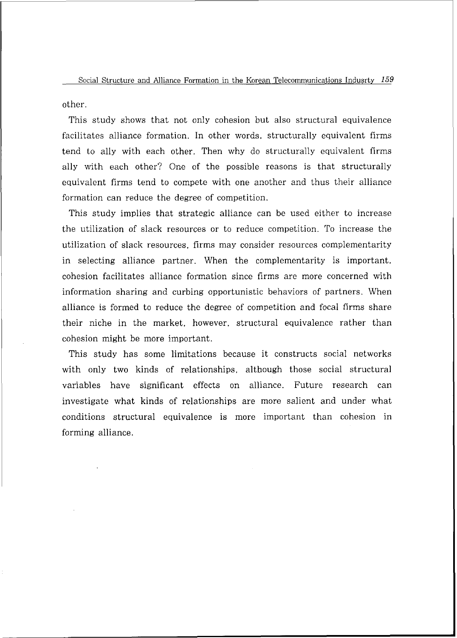other.

This study shows that not only cohesion but also structural equivalence facilitates alliance formation. In other words, structurally equivalent firms tend to ally with each other. Then why do structurally equivalent firms ally with each other? One of the possible reasons is that structurally equivalent firms tend to compete with one another and thus their alliance formation can reduce the degree of competition.

This study implies that strategic alliance can be used either to increase the utilization of slack resources or to reduce competition. To increase the utilization of slack resources. firms may consider resources complementarity in selecting alliance partner. When the complementarity is important, cohesion facilitates alliance formation since firms are more concerned with information sharing and curbing opportunistic behaviors of partners. When alliance is formed to reduce the degree of competition and focal firms share their niche in the market, however, structural equivalence rather than cohesion might be more important.

This study has some limitations because it constructs social networks with only two kinds of relationships, although those social structural variables have significant effects on alliance. Future research can investigate what kinds of relationships are more salient and under what conditions structural equivalence is more important than cohesion in forming alliance.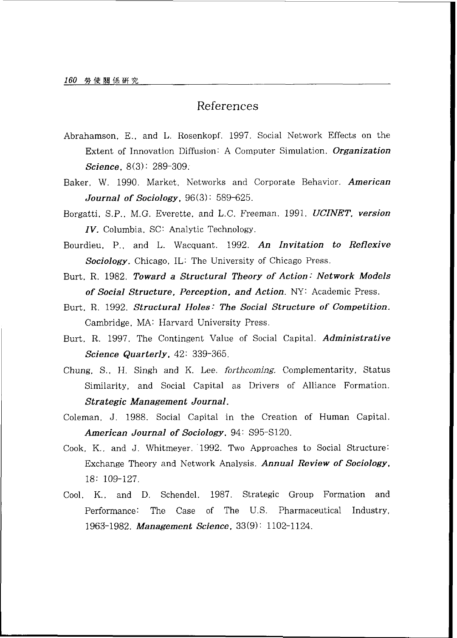## References

- Abrahamson. E.. and L. Rosenkopf. 1997. Social Network Effects on the Extent of Innovation Diffusion: A Computer Simulation. *Organization Science.* 8(3): 289-309.
- Baker, W. 1990. Market. Networks and Corporate Behavior. *American Journal of Sociology.* 96(3) : 589-625.
- Borgatti. S.P., M.G. Everette, and L.C. Freeman. 1991. UCINET. *version ZV.* Columbia. SC: Analytic Technology.
- Bourdieu. P.. and L. Wacquant. 1992. *An Invitation to Reflexive Sociology.* Chicago. IL: The University of Chicago Press.
- Burt. R. 1982. *Toward a Structural Theory of Action: Network Models of Social Structure. Perception, and Action.* NY: Academic Press.
- Burt. R. 1992. *Structural Holes: The Social Structure of Competition.*  Cambridge. MA: Harvard University Press.
- Burt, R. 1997. The Contingent Value of Social Capital. *Administrative Science Quarterly.* 42: 339-365.
- Chung. S.. H. Singh and K. Lee. **forthcoming.** Complementarity, Status Similarity, and Social Capital as Drivers of Alliance Formation. *Strategic Management Journal.*
- Coleman. J. 1988. Social Capital in the Creation of Human Capital. *American Journal of Sociology.* 94: S95-S120.
- Cook. K.. and J. Whitmeyer. 1992. Two Approaches to Social Structure: Exchange Theory and Network Analysis. *Annual Review of Sociology.*  18: 109-127.
- Cool. K.. and D. Schendel. 1987. Strategic Group Formation and Performance: The Case of The U.S. Pharmaceutical Industry. 1963-1982. *Management Science.* 33(9) : 1102-1124.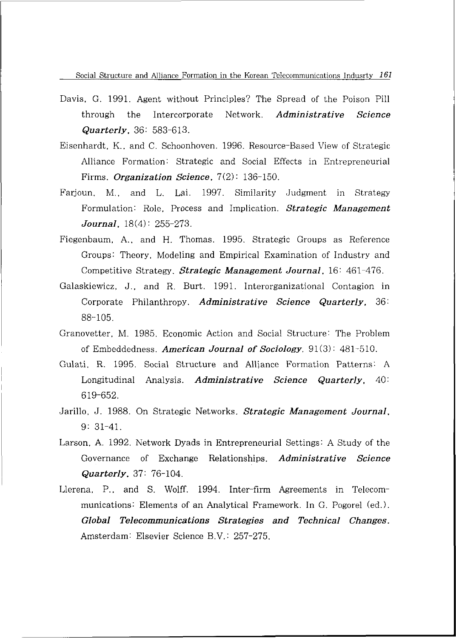- Davis. G. 1991. Agent without Principles? The Spread of the Poison Pill through the Intercorporate Network. *Administrative Science Quarterly.* 36: 583-613.
- Eisenhardt. K.. and C. Schoonhoven. 1996. Resource-Based View of Strategic Alliance Formation: Strategic and Social Effects in Entrepreneurial Firms. *Organization Science*. 7(2): 136-150.
- Farjoun. M.. and L. Lsi. 1997. Similarity Judgment in Strategy Formulation: Role. Process and Implication. *Strategic Management Journal.* 18(4) : 255-273.
- Fiegenbaum, A,. and H. Thomas. 1995. Strategic Groups as Reference Groups: Theory. Modeling and Empirical Examination of Industry and Competitive Strategy. *Strategic Management Journal.* 16: 461-476.
- Galaskiewicz, J.. and R. Burt. 1991. Interorganizational Contagion in Corporate Philanthropy. *Administrative Science Quarterly,* 36: 88-105.
- Granovetter, M. 1985. Economic Action and Social Structure: The Problem of Embeddedness. *American Journal of Sociology.* 91(3): 481-510.
- Gulati. R. 1995. Social Structure and Alliance Formation Patterns: A Longitudinal Analysis. *Administrative Science Quarterly.* 40: 619-652.
- Jarillo, J. 1988. On Strategic Networks. *Strategic Management Journal.*  9: 31-41.
- Larson. A. 1992. Network Dyads in Entrepreneurial Settings: A Study of the Governance of Exchange Relationships. *Administrative Science Quarterly.* 37: 76-104.
- Llerena, P.. and S. Wolff. 1994. Inter-firm Agreements in Telecommunications: Elements of an Analytical Framework. In G. Pogorel (ed.) . *Global Telecommunications Strategies and Technical Changes.*  Amsterdam: Elsevier Science B.V.: 257-275.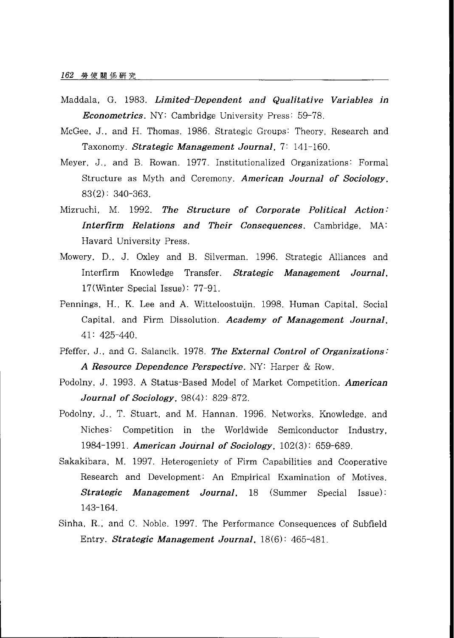- Maddala. G. 1983. *Limited-Dependent and Qualitative Variables in Econometrics.* NY: Cambridge University Press: 59-78.
- McGee. J.. and H. Thomas. 1986. Strategic Groups: Theory. Research and Taxonomy. *Strategic Management Journal.* 7: 141-160.
- Meyer. J., and B. Rowan. 1977. Institutionalized Organizations: Formal Structure as Myth and Ceremony. *American Journal of Sociology.*  83(2) : 340-363.
- Mizruchi, M. 1992. *The Structure of Corporate Political Action: Interfirm Relations and Their Consequences.* Cambridge. *MA:*  Havard University Press.
- Mowery, D.. J. Oxley and B. Silverman. 1996. Strategic Alliances and Interfirm Knowledge Transfer. *Strategic Management Journal.*  17(Winter Special Issue) : 77-91.
- Pennings, H.. K. Lee and A. Witteloostuiin. 1998. Human Capital. Social Capital, and Firm Dissolution. *Academy of Management Journal.*  41: 425-440.
- Pfeffer. J.. and G. Salancik. 1978. *The External Control of Organizations: A Resource Dependence Perspective.* NY: Harper & Row.
- Podolny, J. 1993. A Status-Based Model of Market Competition. *American Journal of Sociology.* 98(4) : 829-872.
- Podolny. J., T. Stuart, and M. Hannan. 1996. Networks. Knowledge, and Niches: Competition in the Worldwide Semiconductor Industry, 1984-1991. *American Journal of Sociology.* 102(3) : 659-689.
- Sakakibara. M. 1997. Heterogeniety of Firm Capabilities and Cooperative Research and Development: An Empirical Examination of Motives. *Strategic Management Journal.* 18 (Summer Special Issue) : 143-164.
- Sinha, R.; and C. Noble. 1997. The Performance Consequences of Subfield Entry. *Strategic Management Journal.* 18(6): 465-481.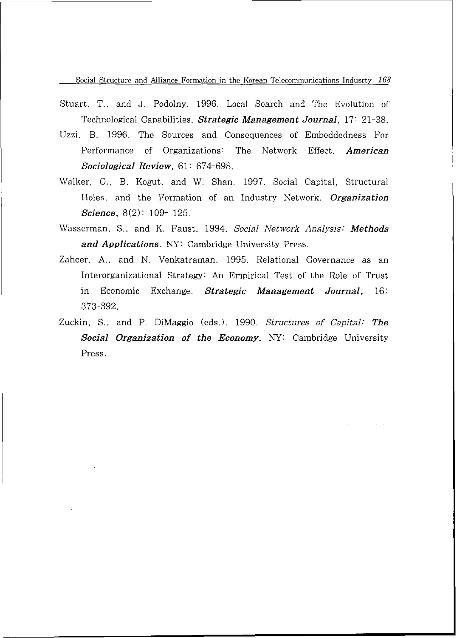- Stuart, T.. and J. Podolny. 1996. Local Search and The Evolution of Technological Capabilities. *Strategic Management Journal.* 17: 21-38.
- Uzzi. B. 1996. The Sources and Consequences of Embeddedness For Performance of Organizations: The Network Effect. *American Sociological Review.* 61 : 674-698.
- Walker. G.. B. Kogut, and W. Shan. 1997. Social Capital, Structural Holes, and the Formation of an Industry Network. *Organization Science.* 8(2): 109- 125.
- Wasserman, S.. and K. Faust. 1994. *Social Network Analysis: Methods and Applications.* NY: Cambridge University Press.
- Zaheer. A,. and N. Venkatraman. 1995. Relational Governance as an Interorganizational Strategy: An Empirical Test of the Role of Trust in Economic Exchange. *Strategic Management Journal.* 16: 373-392.
- Zuckin, S.. and P. DiMaggio (eds.). 1990. *Structures of Capital: The Social Organization of the Economy.* NY: Cambridge University Press.